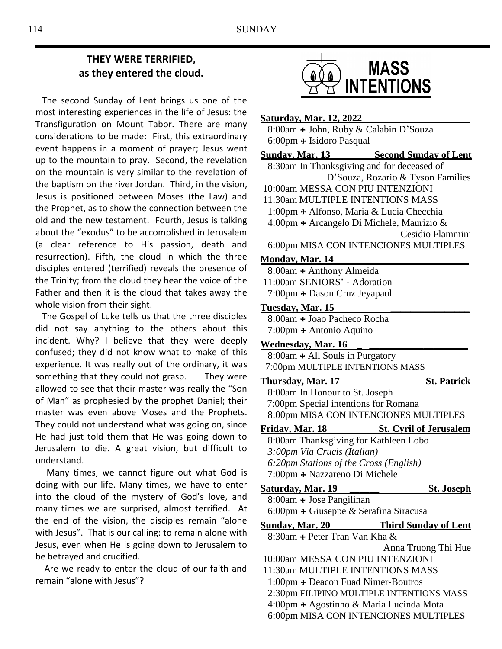# **THEY WERE TERRIFIED, as they entered the cloud.**

 The second Sunday of Lent brings us one of the most interesting experiences in the life of Jesus: the Transfiguration on Mount Tabor. There are many considerations to be made: First, this extraordinary event happens in a moment of prayer; Jesus went up to the mountain to pray. Second, the revelation on the mountain is very similar to the revelation of the baptism on the river Jordan. Third, in the vision, Jesus is positioned between Moses (the Law) and the Prophet, as to show the connection between the old and the new testament. Fourth, Jesus is talking about the "exodus" to be accomplished in Jerusalem (a clear reference to His passion, death and resurrection). Fifth, the cloud in which the three disciples entered (terrified) reveals the presence of the Trinity; from the cloud they hear the voice of the Father and then it is the cloud that takes away the whole vision from their sight.

 The Gospel of Luke tells us that the three disciples did not say anything to the others about this incident. Why? I believe that they were deeply confused; they did not know what to make of this experience. It was really out of the ordinary, it was something that they could not grasp. They were allowed to see that their master was really the "Son of Man" as prophesied by the prophet Daniel; their master was even above Moses and the Prophets. They could not understand what was going on, since He had just told them that He was going down to Jerusalem to die. A great vision, but difficult to understand.

 Many times, we cannot figure out what God is doing with our life. Many times, we have to enter into the cloud of the mystery of God's love, and many times we are surprised, almost terrified. At the end of the vision, the disciples remain "alone with Jesus". That is our calling: to remain alone with Jesus, even when He is going down to Jerusalem to be betrayed and crucified.

 Are we ready to enter the cloud of our faith and remain "alone with Jesus"?



#### **Saturday, Mar. 12, 2022\_\_\_\_ \_\_ \_\_\_\_\_\_\_\_\_**

8:00am **+** John, Ruby & Calabin D'Souza 6:00pm **+** Isidoro Pasqual

**Sunday, Mar. 13 Second Sunday of Lent**

8:30am In Thanksgiving and for deceased of D'Souza, Rozario & Tyson Families 10:00am MESSA CON PIU INTENZIONI 11:30am MULTIPLE INTENTIONS MASS 1:00pm **+** Alfonso, Maria & Lucia Checchia 4:00pm **+** Arcangelo Di Michele, Maurizio & Cesidio Flammini 6:00pm MISA CON INTENCIONES MULTIPLES

#### **Monday, Mar. 14 \_\_\_\_\_\_\_\_\_\_\_\_\_\_\_\_\_\_\_\_\_**

8:00am **+** Anthony Almeida 11:00am SENIORS' - Adoration 7:00pm **+** Dason Cruz Jeyapaul

#### **Tuesday, Mar. 15 \_\_\_\_\_\_\_\_\_\_\_\_\_\_\_\_**

8:00am **+** Joao Pacheco Rocha 7:00pm **+** Antonio Aquino

#### Wednesday, Mar. 16

8:00am **+** All Souls in Purgatory 7:00pm MULTIPLE INTENTIONS MASS

**Thursday, Mar. 17** St. Patrick

 8:00am In Honour to St. Joseph 7:00pm Special intentions for Romana 8:00pm MISA CON INTENCIONES MULTIPLES

**Friday, Mar. 18 St. Cyril of Jerusalem**

8:00am Thanksgiving for Kathleen Lobo  *3:00pm Via Crucis (Italian) 6:20pm Stations of the Cross (English)* 7:00pm **+** Nazzareno Di Michele

- **Saturday, Mar. 19 \_\_\_\_\_\_ St. Joseph** 8:00am **+** Jose Pangilinan 6:00pm **+** Giuseppe & Serafina Siracusa **Sunday, Mar. 20 Third Sunday of Lent**
- 8:30am **+** Peter Tran Van Kha & Anna Truong Thi Hue 10:00am MESSA CON PIU INTENZIONI 11:30am MULTIPLE INTENTIONS MASS 1:00pm **+** Deacon Fuad Nimer-Boutros

 2:30pm FILIPINO MULTIPLE INTENTIONS MASS 4:00pm **+** Agostinho & Maria Lucinda Mota 6:00pm MISA CON INTENCIONES MULTIPLES